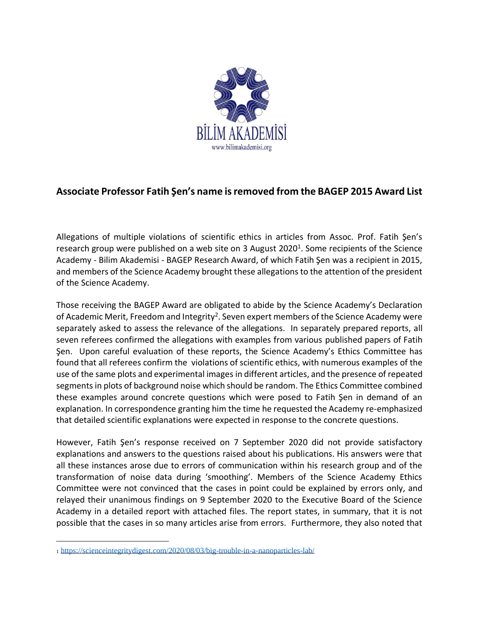

## **Associate Professor Fatih Şen's name is removed from the BAGEP 2015 Award List**

Allegations of multiple violations of scientific ethics in articles from Assoc. Prof. Fatih Şen's research group were published on a web site on 3 August 2020<sup>1</sup>. Some recipients of the Science Academy - Bilim Akademisi - BAGEP Research Award, of which Fatih Şen was a recipient in 2015, and members of the Science Academy brought these allegations to the attention of the president of the Science Academy.

Those receiving the BAGEP Award are obligated to abide by the Science Academy's Declaration of Academic Merit, Freedom and Integrity<sup>2</sup>. Seven expert members of the Science Academy were separately asked to assess the relevance of the allegations. In separately prepared reports, all seven referees confirmed the allegations with examples from various published papers of Fatih Şen. Upon careful evaluation of these reports, the Science Academy's Ethics Committee has found that all referees confirm the violations of scientific ethics, with numerous examples of the use of the same plots and experimental images in different articles, and the presence of repeated segments in plots of background noise which should be random. The Ethics Committee combined these examples around concrete questions which were posed to Fatih Şen in demand of an explanation. In correspondence granting him the time he requested the Academy re-emphasized that detailed scientific explanations were expected in response to the concrete questions.

However, Fatih Şen's response received on 7 September 2020 did not provide satisfactory explanations and answers to the questions raised about his publications. His answers were that all these instances arose due to errors of communication within his research group and of the transformation of noise data during 'smoothing'. Members of the Science Academy Ethics Committee were not convinced that the cases in point could be explained by errors only, and relayed their unanimous findings on 9 September 2020 to the Executive Board of the Science Academy in a detailed report with attached files. The report states, in summary, that it is not possible that the cases in so many articles arise from errors. Furthermore, they also noted that

<sup>1</sup> <https://scienceintegritydigest.com/2020/08/03/big-trouble-in-a-nanoparticles-lab/>